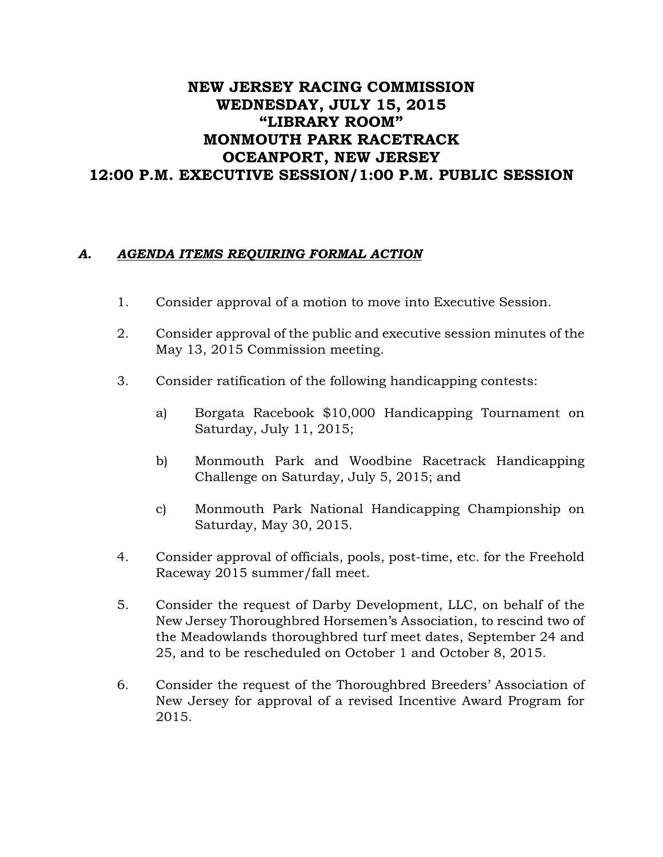## NEW JERSEY RACING COMMISSION WEDNESDAY, JULY 15, 2015 "LIBRARY ROOM" MONMOUTH PARK RACETRACK OCEANPORT, NEW JERSEY 12:00 P.M. EXECUTIVE SESSION/1:00 P.M. PUBLIC SESSION

## *A. AGENDA ITEMS REQUIRING FORMAL ACTION*

- 1. Consider approval of a motion to move into Executive Session.
- 2. Consider approval of the public and executive session minutes of the May 13, 2015 Commission meeting.
- 3. Consider ratification of the following handicapping contests:
	- a) Borgata Racebook \$10,000 Handicapping Tournament on Saturday, July 11, 2015;
	- b) Monmouth Park and Woodbine Racetrack Handicapping Challenge on Saturday, July 5, 2015; and
	- c) Monmouth Park National Handicapping Championship on Saturday, May 30, 2015.
- 4. Consider approval of officials, pools, post-time, etc. for the Freehold Raceway 2015 summer/fall meet.
- 5. Consider the request of Darby Development, LLC, on behalf of the New Jersey Thoroughbred Horsemen's Association, to rescind two of the Meadowlands thoroughbred turf meet dates, September 24 and 25, and to be rescheduled on October 1 and October 8, 2015.
- 6. Consider the request of the Thoroughbred Breeders' Association of New Jersey for approval of a revised Incentive Award Program for 2015.